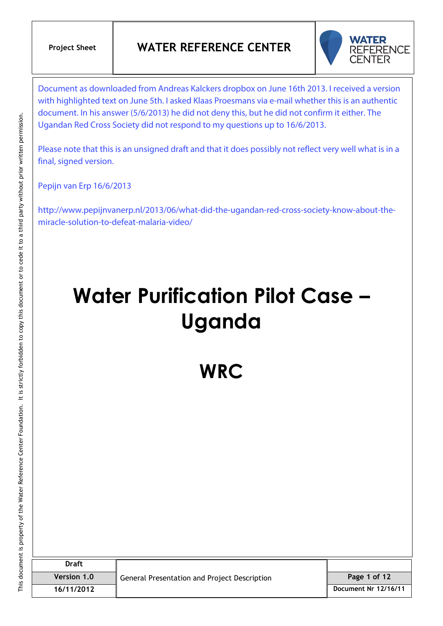

Document as downloaded from Andreas Kalckers dropbox on June 16th 2013. I received a version with highlighted text on June 5th. I asked Klaas Proesmans via e-mail whether this is an authentic document. In his answer (5/6/2013) he did not deny this, but he did not confirm it either. The Ugandan Red Cross Society did not respond to my questions up to 16/6/2013.

Please note that this is an unsigned draft and that it does possibly not reflect very well what is in a final, signed version.

Pepijn van Erp 16/6/2013

http://www.pepijnvanerp.nl/2013/06/what-did-the-ugandan-red-cross-society-know-about-themiracle-solution-to-defeat-malaria-video/

# **Water Purification Pilot Case – Uganda**

**WRC**

| <b>Draft</b>       | General Presentation and Project Description |                      |
|--------------------|----------------------------------------------|----------------------|
| <b>Version 1.0</b> |                                              | Page 1 of 12         |
| 16/11/2012         |                                              | Document Nr 12/16/11 |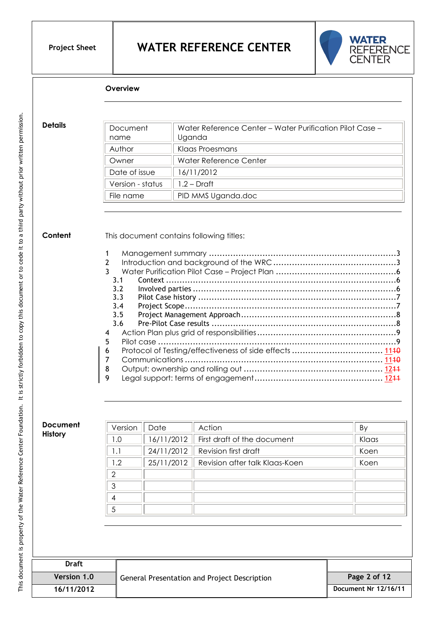

#### **Overview**

**Details**

| Document<br>name | Water Reference Center – Water Purification Pilot Case –<br>Uganda |
|------------------|--------------------------------------------------------------------|
| Author           | Klaas Proesmans                                                    |
| Owner            | Water Reference Center                                             |
| Date of issue    | 16/11/2012                                                         |
| Version - status | $1.2 - Draff$                                                      |
| File name        | PID MMS Uganda.doc                                                 |

#### **Content**

This document contains following titles:

#### **Document History**

| Version | Date | Action                                      | By    |
|---------|------|---------------------------------------------|-------|
| 0. ا    |      | $16/11/2012$ First draft of the document    | Klaas |
|         |      | $24/11/2012$ Revision first draft           | Koen  |
| 1.2     |      | 25/11/2012   Revision after talk Klaas-Koen | Koen  |
| ⌒       |      |                                             |       |
| っ       |      |                                             |       |
|         |      |                                             |       |
|         |      |                                             |       |

| Draft       | General Presentation and Project Description |                      |
|-------------|----------------------------------------------|----------------------|
| Version 1.0 |                                              | Page 2 of 12         |
| 16/11/2012  |                                              | Document Nr 12/16/11 |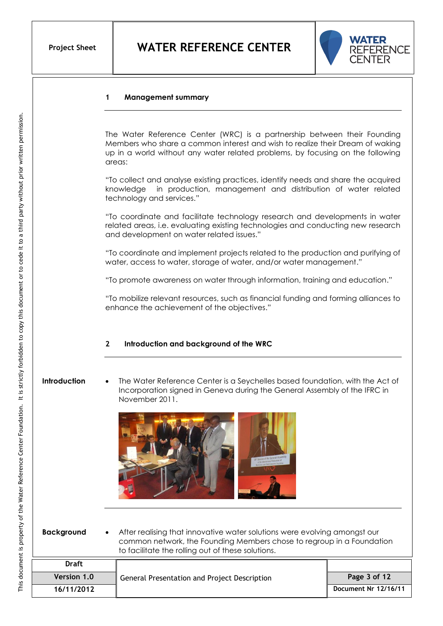

#### **1 Management summary**

The Water Reference Center (WRC) is a partnership between their Founding Members who share a common interest and wish to realize their Dream of waking up in a world without any water related problems, by focusing on the following areas:

"To collect and analyse existing practices, identify needs and share the acquired knowledge in production, management and distribution of water related technology and services."

"To coordinate and facilitate technology research and developments in water related areas, i.e. evaluating existing technologies and conducting new research and development on water related issues."

"To coordinate and implement projects related to the production and purifying of water, access to water, storage of water, and/or water management."

"To promote awareness on water through information, training and education."

"To mobilize relevant resources, such as financial funding and forming alliances to enhance the achievement of the objectives."

#### **2 Introduction and background of the WRC**

### **Introduction**

 The Water Reference Center is a Seychelles based foundation, with the Act of Incorporation signed in Geneva during the General Assembly of the IFRC in November 2011.



 After realising that innovative water solutions were evolving amongst our common network, the Founding Members chose to regroup in a Foundation to facilitate the rolling out of these solutions. **Background**

| <b>Draft</b>       |                                              |                      |
|--------------------|----------------------------------------------|----------------------|
| <b>Version 1.0</b> | General Presentation and Project Description | Page 3 of 12         |
| 16/11/2012         |                                              | Document Nr 12/16/11 |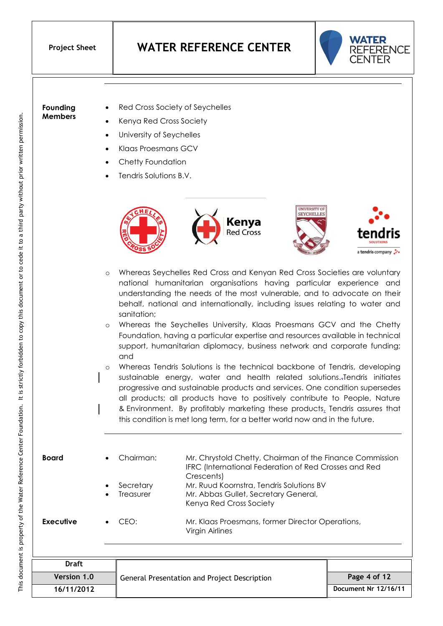

**Founding Members**

- Kenya Red Cross Society
- University of Seychelles
- Klaas Proesmans GCV
- Chetty Foundation
- Tendris Solutions B.V.



- Whereas Seychelles Red Cross and Kenyan Red Cross Societies are voluntary national humanitarian organisations having particular experience and understanding the needs of the most vulnerable, and to advocate on their behalf, national and internationally, including issues relating to water and sanitation;
- Whereas the Seychelles University, Klaas Proesmans GCV and the Chetty Foundation, having a particular expertise and resources available in technical support, humanitarian diplomacy, business network and corporate funding; and
- o Whereas Tendris Solutions is the technical backbone of Tendris, developing sustainable energy, water and health related solutions..Tendris initiates progressive and sustainable products and services. One condition supersedes all products; all products have to positively contribute to People, Nature & Environment. By profitably marketing these products, Tendris assures that this condition is met long term, for a better world now and in the future.

 Chairman: Mr. Chrystold Chetty, Chairman of the Finance Commission IFRC (International Federation of Red Crosses and Red Crescents) Secretary Mr. Ruud Koornstra, Tendris Solutions BV Treasurer Mr. Abbas Gullet, Secretary General, Kenya Red Cross Society CEO: Mr. Klaas Proesmans, former Director Operations, Virgin Airlines **Board Executive**

| Draft       |                                              |                      |
|-------------|----------------------------------------------|----------------------|
| Version 1.0 | General Presentation and Project Description | Page 4 of 12         |
| 16/11/2012  |                                              | Document Nr 12/16/11 |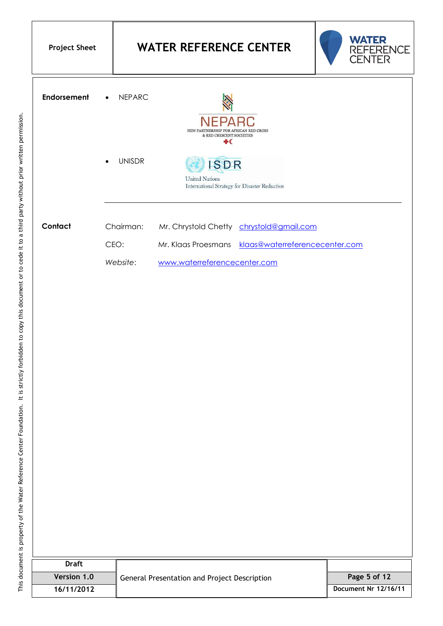| <b>Project Sheet</b> |  |
|----------------------|--|
|----------------------|--|



| <b>Endorsement</b> | <b>NEPARC</b><br>$\bullet$ | <b>NEPARC</b><br>NEW PARTNERSHIP FOR AFRICAN RED CROSS<br>& RED CRESCENT SOCIETIES<br>÷( |
|--------------------|----------------------------|------------------------------------------------------------------------------------------|
|                    | <b>UNISDR</b><br>$\bullet$ | <b>United Nations</b><br>International Strategy for Disaster Reduction                   |
| Contact            | Chairman:                  | Mr. Chrystold Chetty chrystold@gmail.com                                                 |
|                    | CEO:                       | Mr. Klaas Proesmans klaas@waterreferencecenter.com                                       |
|                    | Website:                   | www.waterreferencecenter.com                                                             |

| <b>Draft</b> | General Presentation and Project Description |                      |
|--------------|----------------------------------------------|----------------------|
| Version 1.0  |                                              | Page 5 of 12         |
| 16/11/2012   |                                              | Document Nr 12/16/11 |
|              |                                              |                      |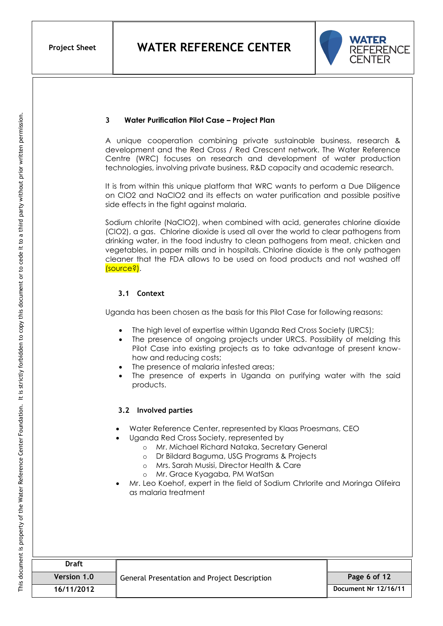

#### **3 Water Purification Pilot Case – Project Plan**

A unique cooperation combining private sustainable business, research & development and the Red Cross / Red Crescent network. The Water Reference Centre (WRC) focuses on research and development of water production technologies, involving private business, R&D capacity and academic research.

It is from within this unique platform that WRC wants to perform a Due Diligence on ClO2 and NaClO2 and its effects on water purification and possible positive side effects in the fight against malaria.

Sodium chlorite (NaClO2), when combined with acid, generates chlorine dioxide (ClO2), a gas. Chlorine dioxide is used all over the world to clear pathogens from drinking water, in the food industry to clean pathogens from meat, chicken and vegetables, in paper mills and in hospitals. Chlorine dioxide is the only pathogen cleaner that the FDA allows to be used on food products and not washed off (source?).

#### **3.1 Context**

Uganda has been chosen as the basis for this Pilot Case for following reasons:

- The high level of expertise within Uganda Red Cross Society (URCS);
- The presence of ongoing projects under URCS. Possibility of melding this Pilot Case into existing projects as to take advantage of present knowhow and reducing costs;
- The presence of malaria infested areas;
- The presence of experts in Uganda on purifying water with the said products.

#### **3.2 Involved parties**

- Water Reference Center, represented by Klaas Proesmans, CEO
- Uganda Red Cross Society, represented by
	- o Mr. Michael Richard Nataka, Secretary General
	- o Dr Bildard Baguma, USG Programs & Projects
	- o Mrs. Sarah Musisi, Director Health & Care
	- o Mr. Grace Kyagaba, PM WatSan
- Mr. Leo Koehof, expert in the field of Sodium Chrlorite and Moringa Olifeira as malaria treatment

| <b>Draft</b>       | General Presentation and Project Description |                      |
|--------------------|----------------------------------------------|----------------------|
| <b>Version 1.0</b> |                                              | Page 6 of 12         |
| 16/11/2012         |                                              | Document Nr 12/16/11 |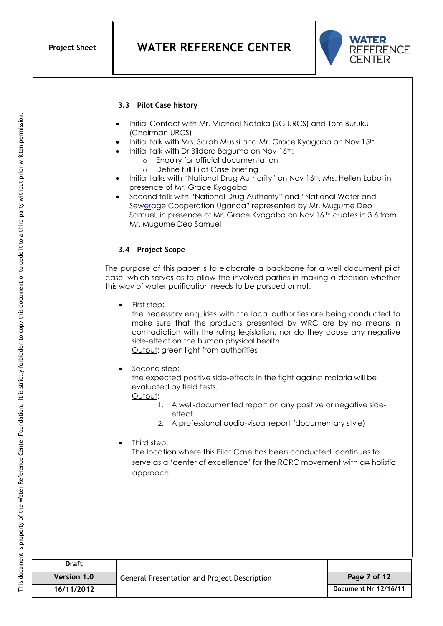

#### **3.3 Pilot Case history**

- Initial Contact with Mr. Michael Nataka (SG URCS) and Tom Buruku (Chairman URCS)
- Initial talk with Mrs. Sarah Musisi and Mr. Grace Kyagaba on Nov 15<sup>th</sup>
- Initial talk with Dr Bildard Baguma on Nov 16th:
	- o Enquiry for official documentation
	- o Define full Pilot Case briefing
- Initial talks with "National Drug Authority" on Nov 16<sup>th</sup>, Mrs. Hellen Labol in presence of Mr. Grace Kyagaba
- Second talk with "National Drug Authority" and "National Water and Sewerage Cooperation Uganda" represented by Mr. Mugume Deo Samuel, in presence of Mr. Grace Kyagaba on Nov 16<sup>th</sup>: quotes in 3.6 from Mr. Mugume Deo Samuel

#### **3.4 Project Scope**

The purpose of this paper is to elaborate a backbone for a well document pilot case, which serves as to allow the involved parties in making a decision whether this way of water purification needs to be pursued or not.

First step:

the necessary enquiries with the local authorities are being conducted to make sure that the products presented by WRC are by no means in contradiction with the ruling legislation, nor do they cause any negative side-effect on the human physical health. Output: green light from authorities

Second step:

the expected positive side-effects in the fight against malaria will be evaluated by field tests.

- Output:
	- 1. A well-documented report on any positive or negative sideeffect
	- 2. A professional audio-visual report (documentary style)
- Third step: The location where this Pilot Case has been conducted, continues to serve as a 'center of excellence' for the RCRC movement with an holistic approach

| Draft       | <b>General Presentation and Project Description</b> |                      |
|-------------|-----------------------------------------------------|----------------------|
| Version 1.0 |                                                     | Page 7 of 12         |
| 16/11/2012  |                                                     | Document Nr 12/16/11 |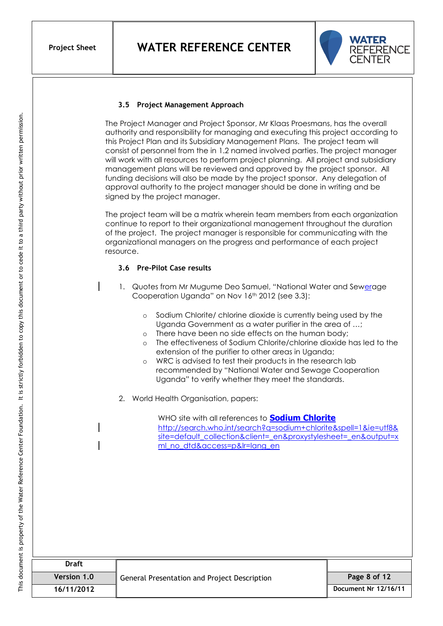

#### **3.5 Project Management Approach**

The Project Manager and Project Sponsor, Mr Klaas Proesmans, has the overall authority and responsibility for managing and executing this project according to this Project Plan and its Subsidiary Management Plans. The project team will consist of personnel from the in 1.2 named involved parties. The project manager will work with all resources to perform project planning. All project and subsidiary management plans will be reviewed and approved by the project sponsor. All funding decisions will also be made by the project sponsor. Any delegation of approval authority to the project manager should be done in writing and be signed by the project manager.

The project team will be a matrix wherein team members from each organization continue to report to their organizational management throughout the duration of the project. The project manager is responsible for communicating with the organizational managers on the progress and performance of each project resource.

#### **3.6 Pre-Pilot Case results**

- 1. Quotes from Mr Mugume Deo Samuel, "National Water and Sewerage Cooperation Uganda" on Nov 16<sup>th</sup> 2012 (see 3.3):
	- o Sodium Chlorite/ chlorine dioxide is currently being used by the Uganda Government as a water purifier in the area of …;
	- o There have been no side effects on the human body;
	- o The effectiveness of Sodium Chlorite/chlorine dioxide has led to the extension of the purifier to other areas in Uganda;
	- o WRC is advised to test their products in the research lab recommended by "National Water and Sewage Cooperation Uganda" to verify whether they meet the standards.
- 2. World Health Organisation, papers:

WHO site with all references to **[Sodium Chlorite](http://search.who.int/search?q=sodium+chlorite&spell=1&ie=utf8&site=default_collection&client=_en&proxystylesheet=_en&output=xml_no_dtd&access=p&lr=lang_en)** [http://search.who.int/search?q=sodium+chlorite&spell=1&ie=utf8&](http://search.who.int/search?q=sodium+chlorite&spell=1&ie=utf8&site=default_collection&client=_en&proxystylesheet=_en&output=xml_no_dtd&access=p&lr=lang_en) [site=default\\_collection&client=\\_en&proxystylesheet=\\_en&output=x](http://search.who.int/search?q=sodium+chlorite&spell=1&ie=utf8&site=default_collection&client=_en&proxystylesheet=_en&output=xml_no_dtd&access=p&lr=lang_en) [ml\\_no\\_dtd&access=p&lr=lang\\_en](http://search.who.int/search?q=sodium+chlorite&spell=1&ie=utf8&site=default_collection&client=_en&proxystylesheet=_en&output=xml_no_dtd&access=p&lr=lang_en)

| Draft              |                                                     |                      |
|--------------------|-----------------------------------------------------|----------------------|
| <b>Version 1.0</b> | <b>General Presentation and Project Description</b> | Page 8 of 12         |
| 16/11/2012         |                                                     | Document Nr 12/16/11 |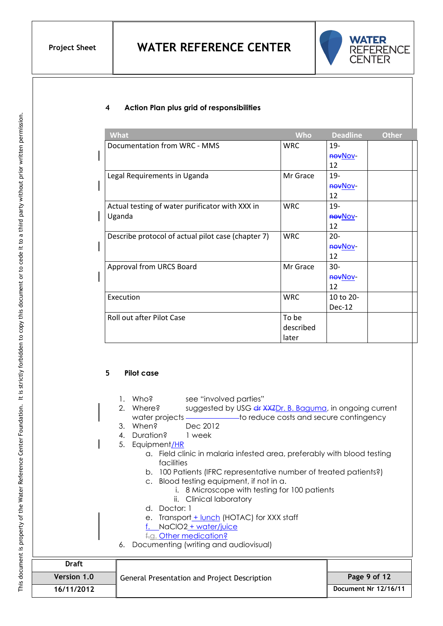

#### **4 Action Plan plus grid of responsibilities**

| <b>What</b>                                        | <b>Who</b> | <b>Deadline</b> | <b>Other</b> |
|----------------------------------------------------|------------|-----------------|--------------|
| Documentation from WRC - MMS                       | <b>WRC</b> | $19 -$          |              |
|                                                    |            | <b>HOVNOV-</b>  |              |
|                                                    |            | 12              |              |
| Legal Requirements in Uganda                       | Mr Grace   | 19-             |              |
|                                                    |            | <b>HOVNOV-</b>  |              |
|                                                    |            | 12              |              |
| Actual testing of water purificator with XXX in    | <b>WRC</b> | 19-             |              |
| Uganda                                             |            | <b>HOVNOV-</b>  |              |
|                                                    |            | 12              |              |
| Describe protocol of actual pilot case (chapter 7) | <b>WRC</b> | $20 -$          |              |
|                                                    |            | <b>novNov-</b>  |              |
|                                                    |            | 12              |              |
| Approval from URCS Board                           | Mr Grace   | $30 -$          |              |
|                                                    |            | <b>novNov-</b>  |              |
|                                                    |            | 12              |              |
| Execution                                          | <b>WRC</b> | 10 to 20-       |              |
|                                                    |            | $Dec-12$        |              |
| Roll out after Pilot Case                          | To be      |                 |              |
|                                                    | described  |                 |              |
|                                                    | later      |                 |              |

#### **5 Pilot case**

- 1. Who? see "involved parties"
- 2. Where? suggested by USG dr XXZDr. B. Baguma, in ongoing current water projects ——————————to reduce costs and secure contingency
- 3. When? Dec 2012
- 4. Duration? 1 week
- 5. Equipment/HR
	- a. Field clinic in malaria infested area, preferably with blood testing facilities
	- b. 100 Patients (IFRC representative number of treated patients?)
	- c. Blood testing equipment, if not in a.
		- i. 8 Microscope with testing for 100 patients
		- ii. Clinical laboratory
	- d. Doctor: 1
	- e. Transport\_+ lunch (HOTAC) for XXX staff
	- f. NaClO2 + water/juice
	- f.g. Other medication?
- 6. Documenting (writing and audiovisual)

| <b>Draft</b>       |                                              |                      |
|--------------------|----------------------------------------------|----------------------|
| <b>Version 1.0</b> | General Presentation and Project Description | Page 9 of 12         |
| 16/11/2012         |                                              | Document Nr 12/16/11 |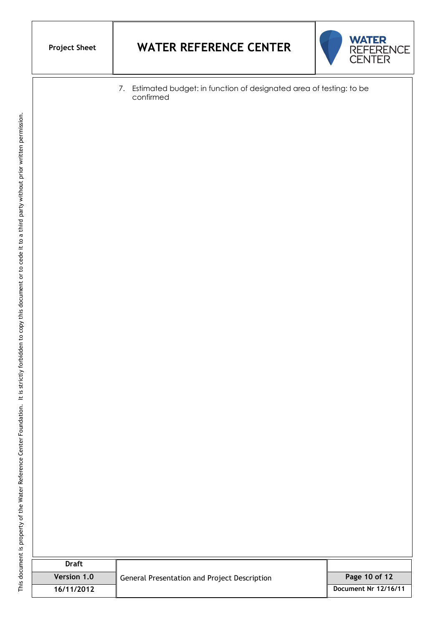## **Project Sheet WATER REFERENCE CENTER**



7. Estimated budget: in function of designated area of testing: to be confirmed

| <b>Draft</b>       |                                              |                      |
|--------------------|----------------------------------------------|----------------------|
| <b>Version 1.0</b> | General Presentation and Project Description | Page 10 of 12        |
| 16/11/2012         |                                              | Document Nr 12/16/11 |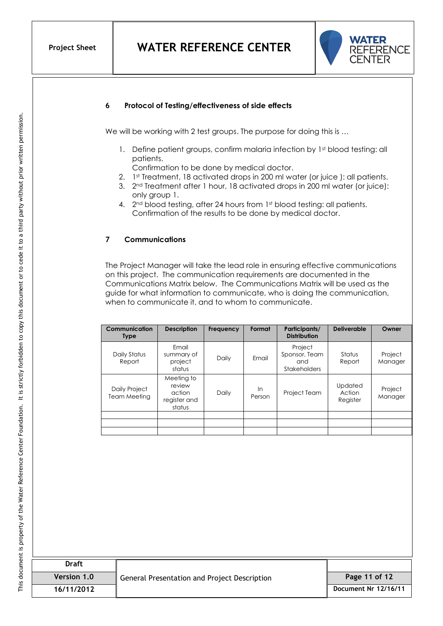

#### **6 Protocol of Testing/effectiveness of side effects**

We will be working with 2 test groups. The purpose for doing this is ...

- 1. Define patient groups, confirm malaria infection by 1st blood testing: all patients.
	- Confirmation to be done by medical doctor.
- 2. 1st Treatment, 18 activated drops in 200 ml water (or juice ): all patients.
- 3. 2nd Treatment after 1 hour, 18 activated drops in 200 ml water (or juice): only group 1.
- 4. 2<sup>nd</sup> blood testing, after 24 hours from 1st blood testing: all patients. Confirmation of the results to be done by medical doctor.

#### **7 Communications**

The Project Manager will take the lead role in ensuring effective communications on this project. The communication requirements are documented in the Communications Matrix below. The Communications Matrix will be used as the guide for what information to communicate, who is doing the communication, when to communicate it, and to whom to communicate.

| Communication<br><b>Type</b>  | <b>Description</b>                                       | Frequency | Format       | Participants/<br><b>Distribution</b>                   | <b>Deliverable</b>            | Owner              |
|-------------------------------|----------------------------------------------------------|-----------|--------------|--------------------------------------------------------|-------------------------------|--------------------|
| Daily Status<br>Report        | Email<br>summary of<br>project<br>status                 | Daily     | Email        | Project<br>Sponsor, Team<br>and<br><b>Stakeholders</b> | Status<br>Report              | Project<br>Manager |
| Daily Project<br>Team Meeting | Meeting to<br>review<br>action<br>register and<br>status | Daily     | In<br>Person | Project Team                                           | Updated<br>Action<br>Register | Project<br>Manager |
|                               |                                                          |           |              |                                                        |                               |                    |
|                               |                                                          |           |              |                                                        |                               |                    |
|                               |                                                          |           |              |                                                        |                               |                    |

| <b>Draft</b> |                                              |                      |
|--------------|----------------------------------------------|----------------------|
| Version 1.0  | General Presentation and Project Description | Page 11 of 12        |
| 16/11/2012   |                                              | Document Nr 12/16/11 |